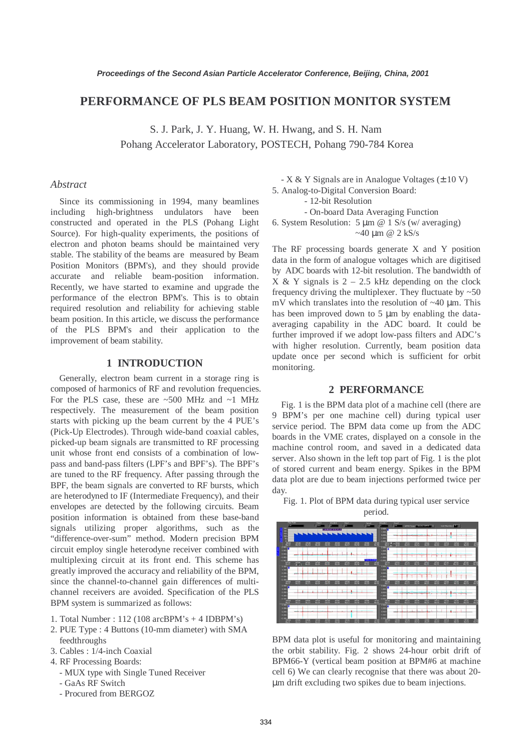# **PERFORMANCE OF PLS BEAM POSITION MONITOR SYSTEM**

S. J. Park, J. Y. Huang, W. H. Hwang, and S. H. Nam Pohang Accelerator Laboratory, POSTECH, Pohang 790-784 Korea

#### *Abstract*

Since its commissioning in 1994, many beamlines including high-brightness undulators have been constructed and operated in the PLS (Pohang Light Source). For high-quality experiments, the positions of electron and photon beams should be maintained very stable. The stability of the beams are measured by Beam Position Monitors (BPM's), and they should provide accurate and reliable beam-position information. Recently, we have started to examine and upgrade the performance of the electron BPM's. This is to obtain required resolution and reliability for achieving stable beam position. In this article, we discuss the performance of the PLS BPM's and their application to the improvement of beam stability.

### **1 INTRODUCTION**

Generally, electron beam current in a storage ring is composed of harmonics of RF and revolution frequencies. For the PLS case, these are  $\sim$  500 MHz and  $\sim$ 1 MHz respectively. The measurement of the beam position starts with picking up the beam current by the 4 PUE's (Pick-Up Electrodes). Through wide-band coaxial cables, picked-up beam signals are transmitted to RF processing unit whose front end consists of a combination of lowpass and band-pass filters (LPF's and BPF's). The BPF's are tuned to the RF frequency. After passing through the BPF, the beam signals are converted to RF bursts, which are heterodyned to IF (Intermediate Frequency), and their envelopes are detected by the following circuits. Beam position information is obtained from these base-band signals utilizing proper algorithms, such as the "difference-over-sum" method. Modern precision BPM circuit employ single heterodyne receiver combined with multiplexing circuit at its front end. This scheme has greatly improved the accuracy and reliability of the BPM, since the channel-to-channel gain differences of multichannel receivers are avoided. Specification of the PLS BPM system is summarized as follows:

- 1. Total Number : 112 (108 arcBPM's + 4 IDBPM's)
- 2. PUE Type : 4 Buttons (10-mm diameter) with SMA feedthroughs
- 3. Cables : 1/4-inch Coaxial
- 4. RF Processing Boards:
	- MUX type with Single Tuned Receiver
	- GaAs RF Switch
	- Procured from BERGOZ

 $- X & Y$  Signals are in Analogue Voltages ( $\pm 10$  V) 5. Analog-to-Digital Conversion Board:

- 12-bit Resolution

- On-board Data Averaging Function

6. System Resolution:  $5 \mu m \omega$  1 S/s (w/ averaging)  $~140 \text{ nm}$  @ 2 kS/s

The RF processing boards generate X and Y position data in the form of analogue voltages which are digitised by ADC boards with 12-bit resolution. The bandwidth of X & Y signals is  $2 - 2.5$  kHz depending on the clock frequency driving the multiplexer. They fluctuate by  $\sim 50$ mV which translates into the resolution of  $\sim$ 40 µm. This has been improved down to 5 µm by enabling the dataaveraging capability in the ADC board. It could be further improved if we adopt low-pass filters and ADC's with higher resolution. Currently, beam position data update once per second which is sufficient for orbit monitoring.

#### **2 PERFORMANCE**

Fig. 1 is the BPM data plot of a machine cell (there are 9 BPM's per one machine cell) during typical user service period. The BPM data come up from the ADC boards in the VME crates, displayed on a console in the machine control room, and saved in a dedicated data server. Also shown in the left top part of Fig. 1 is the plot of stored current and beam energy. Spikes in the BPM data plot are due to beam injections performed twice per day.

Fig. 1. Plot of BPM data during typical user service period.



BPM data plot is useful for monitoring and maintaining the orbit stability. Fig. 2 shows 24-hour orbit drift of BPM66-Y (vertical beam position at BPM#6 at machine cell 6) We can clearly recognise that there was about 20 µm drift excluding two spikes due to beam injections.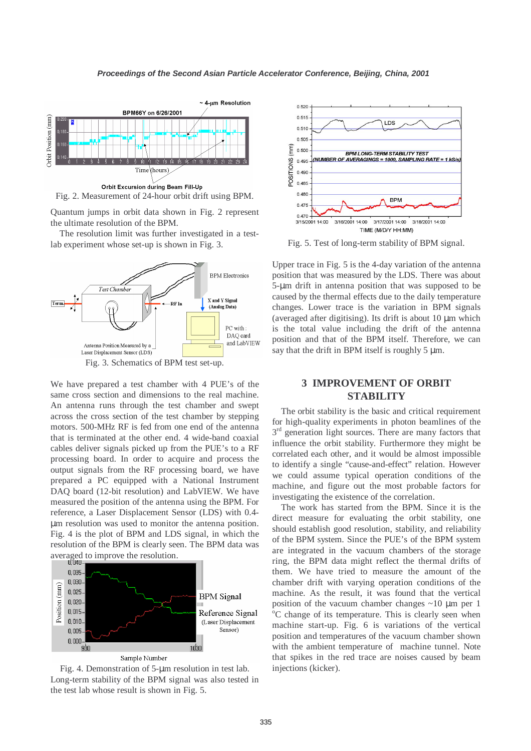

Fig. 2. Measurement of 24-hour orbit drift using BPM.

Quantum jumps in orbit data shown in Fig. 2 represent the ultimate resolution of the BPM.

The resolution limit was further investigated in a testlab experiment whose set-up is shown in Fig. 3.



Fig. 3. Schematics of BPM test set-up.

We have prepared a test chamber with 4 PUE's of the same cross section and dimensions to the real machine. An antenna runs through the test chamber and swept across the cross section of the test chamber by stepping motors. 500-MHz RF is fed from one end of the antenna that is terminated at the other end. 4 wide-band coaxial cables deliver signals picked up from the PUE's to a RF processing board. In order to acquire and process the output signals from the RF processing board, we have prepared a PC equipped with a National Instrument DAQ board (12-bit resolution) and LabVIEW. We have measured the position of the antenna using the BPM. For reference, a Laser Displacement Sensor (LDS) with 0.4 µm resolution was used to monitor the antenna position. Fig. 4 is the plot of BPM and LDS signal, in which the resolution of the BPM is clearly seen. The BPM data was averaged to improve the resolution.



 Fig. 4. Demonstration of 5-µm resolution in test lab. Long-term stability of the BPM signal was also tested in the test lab whose result is shown in Fig. 5.



Fig. 5. Test of long-term stability of BPM signal.

Upper trace in Fig. 5 is the 4-day variation of the antenna position that was measured by the LDS. There was about 5-µm drift in antenna position that was supposed to be caused by the thermal effects due to the daily temperature changes. Lower trace is the variation in BPM signals (averaged after digitising). Its drift is about 10 µm which is the total value including the drift of the antenna position and that of the BPM itself. Therefore, we can say that the drift in BPM itself is roughly 5  $\mu$ m.

## **3 IMPROVEMENT OF ORBIT STABILITY**

The orbit stability is the basic and critical requirement for high-quality experiments in photon beamlines of the  $3<sup>rd</sup>$  generation light sources. There are many factors that influence the orbit stability. Furthermore they might be correlated each other, and it would be almost impossible to identify a single "cause-and-effect" relation. However we could assume typical operation conditions of the machine, and figure out the most probable factors for investigating the existence of the correlation.

The work has started from the BPM. Since it is the direct measure for evaluating the orbit stability, one should establish good resolution, stability, and reliability of the BPM system. Since the PUE's of the BPM system are integrated in the vacuum chambers of the storage ring, the BPM data might reflect the thermal drifts of them. We have tried to measure the amount of the chamber drift with varying operation conditions of the machine. As the result, it was found that the vertical position of the vacuum chamber changes  $\sim 10 \mu m$  per 1 <sup>o</sup>C change of its temperature. This is clearly seen when machine start-up. Fig. 6 is variations of the vertical position and temperatures of the vacuum chamber shown with the ambient temperature of machine tunnel. Note that spikes in the red trace are noises caused by beam injections (kicker).